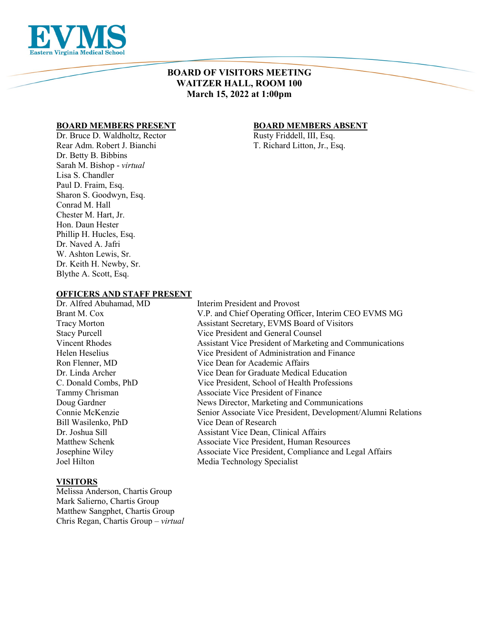

# **BOARD OF VISITORS MEETING WAITZER HALL, ROOM 100 March 15, 2022 at 1:00pm**

# **BOARD MEMBERS PRESENT**<br>Dr. Bruce D. Waldholtz, Rector **BOARD MEMBERS ABSENT**<br>Rusty Friddell, III, Esq.

Dr. Bruce D. Waldholtz, Rector Rear Adm. Robert J. Bianchi T. Richard Litton, Jr., Esq. Dr. Betty B. Bibbins Sarah M. Bishop - *virtual* Lisa S. Chandler Paul D. Fraim, Esq. Sharon S. Goodwyn, Esq. Conrad M. Hall Chester M. Hart, Jr. Hon. Daun Hester Phillip H. Hucles, Esq. Dr. Naved A. Jafri W. Ashton Lewis, Sr. Dr. Keith H. Newby, Sr. Blythe A. Scott, Esq.

#### **OFFICERS AND STAFF PRESENT**

# **VISITORS**

Melissa Anderson, Chartis Group Mark Salierno, Chartis Group Matthew Sangphet, Chartis Group Chris Regan, Chartis Group – *virtual* 

Dr. Alfred Abuhamad, MD Interim President and Provost Brant M. Cox V.P. and Chief Operating Officer, Interim CEO EVMS MG Tracy Morton Assistant Secretary, EVMS Board of Visitors Stacy Purcell Vice President and General Counsel Vincent Rhodes Assistant Vice President of Marketing and Communications Helen Heselius Vice President of Administration and Finance Ron Flenner, MD Vice Dean for Academic Affairs Dr. Linda Archer Vice Dean for Graduate Medical Education C. Donald Combs, PhD Vice President, School of Health Professions Tammy Chrisman Associate Vice President of Finance Doug Gardner News Director, Marketing and Communications Connie McKenzie Senior Associate Vice President, Development/Alumni Relations Bill Wasilenko, PhD Vice Dean of Research Dr. Joshua Sill Assistant Vice Dean, Clinical Affairs Matthew Schenk Associate Vice President, Human Resources Josephine Wiley Associate Vice President, Compliance and Legal Affairs Joel Hilton Media Technology Specialist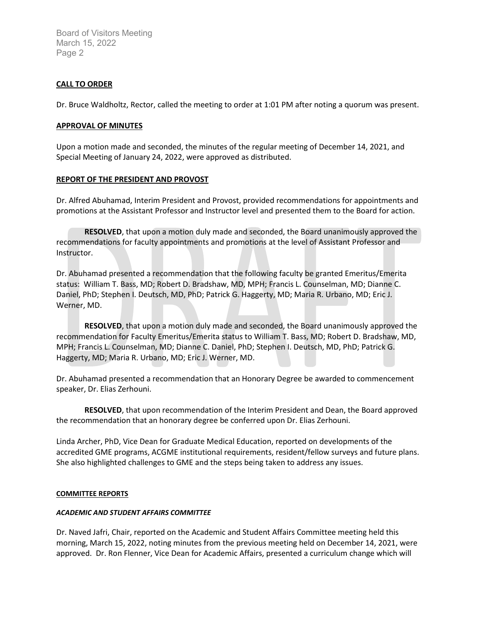# **CALL TO ORDER**

Dr. Bruce Waldholtz, Rector, called the meeting to order at 1:01 PM after noting a quorum was present.

#### **APPROVAL OF MINUTES**

Upon a motion made and seconded, the minutes of the regular meeting of December 14, 2021, and Special Meeting of January 24, 2022, were approved as distributed.

### **REPORT OF THE PRESIDENT AND PROVOST**

Dr. Alfred Abuhamad, Interim President and Provost, provided recommendations for appointments and promotions at the Assistant Professor and Instructor level and presented them to the Board for action.

**RESOLVED**, that upon a motion duly made and seconded, the Board unanimously approved the recommendations for faculty appointments and promotions at the level of Assistant Professor and Instructor.

Dr. Abuhamad presented a recommendation that the following faculty be granted Emeritus/Emerita status: William T. Bass, MD; Robert D. Bradshaw, MD, MPH; Francis L. Counselman, MD; Dianne C. Daniel, PhD; Stephen I. Deutsch, MD, PhD; Patrick G. Haggerty, MD; Maria R. Urbano, MD; Eric J. Werner, MD.

**RESOLVED**, that upon a motion duly made and seconded, the Board unanimously approved the recommendation for Faculty Emeritus/Emerita status to William T. Bass, MD; Robert D. Bradshaw, MD, MPH; Francis L. Counselman, MD; Dianne C. Daniel, PhD; Stephen I. Deutsch, MD, PhD; Patrick G. Haggerty, MD; Maria R. Urbano, MD; Eric J. Werner, MD.

Dr. Abuhamad presented a recommendation that an Honorary Degree be awarded to commencement speaker, Dr. Elias Zerhouni.

**RESOLVED**, that upon recommendation of the Interim President and Dean, the Board approved the recommendation that an honorary degree be conferred upon Dr. Elias Zerhouni.

Linda Archer, PhD, Vice Dean for Graduate Medical Education, reported on developments of the accredited GME programs, ACGME institutional requirements, resident/fellow surveys and future plans. She also highlighted challenges to GME and the steps being taken to address any issues.

#### **COMMITTEE REPORTS**

#### *ACADEMIC AND STUDENT AFFAIRS COMMITTEE*

Dr. Naved Jafri, Chair, reported on the Academic and Student Affairs Committee meeting held this morning, March 15, 2022, noting minutes from the previous meeting held on December 14, 2021, were approved. Dr. Ron Flenner, Vice Dean for Academic Affairs, presented a curriculum change which will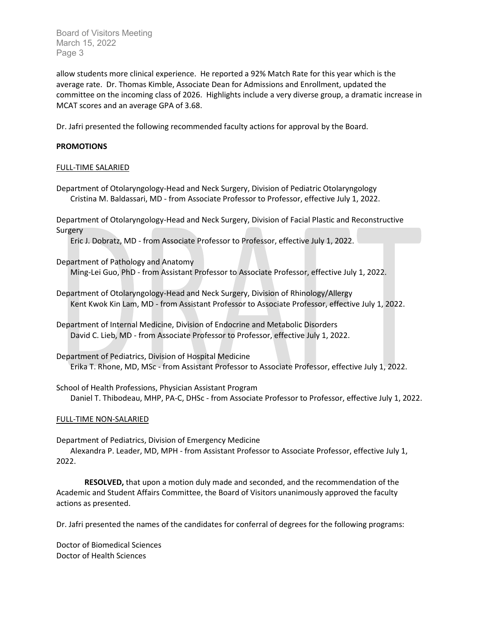allow students more clinical experience. He reported a 92% Match Rate for this year which is the average rate. Dr. Thomas Kimble, Associate Dean for Admissions and Enrollment, updated the committee on the incoming class of 2026. Highlights include a very diverse group, a dramatic increase in MCAT scores and an average GPA of 3.68.

Dr. Jafri presented the following recommended faculty actions for approval by the Board.

# **PROMOTIONS**

#### FULL-TIME SALARIED

Department of Otolaryngology-Head and Neck Surgery, Division of Pediatric Otolaryngology Cristina M. Baldassari, MD - from Associate Professor to Professor, effective July 1, 2022.

Department of Otolaryngology-Head and Neck Surgery, Division of Facial Plastic and Reconstructive Surgery

Eric J. Dobratz, MD - from Associate Professor to Professor, effective July 1, 2022.

Department of Pathology and Anatomy Ming-Lei Guo, PhD - from Assistant Professor to Associate Professor, effective July 1, 2022.

Department of Otolaryngology-Head and Neck Surgery, Division of Rhinology/Allergy Kent Kwok Kin Lam, MD - from Assistant Professor to Associate Professor, effective July 1, 2022.

Department of Internal Medicine, Division of Endocrine and Metabolic Disorders David C. Lieb, MD - from Associate Professor to Professor, effective July 1, 2022.

Department of Pediatrics, Division of Hospital Medicine Erika T. Rhone, MD, MSc - from Assistant Professor to Associate Professor, effective July 1, 2022.

School of Health Professions, Physician Assistant Program Daniel T. Thibodeau, MHP, PA-C, DHSc - from Associate Professor to Professor, effective July 1, 2022.

### FULL-TIME NON-SALARIED

Department of Pediatrics, Division of Emergency Medicine Alexandra P. Leader, MD, MPH - from Assistant Professor to Associate Professor, effective July 1, 2022.

**RESOLVED,** that upon a motion duly made and seconded, and the recommendation of the Academic and Student Affairs Committee, the Board of Visitors unanimously approved the faculty actions as presented.

Dr. Jafri presented the names of the candidates for conferral of degrees for the following programs:

Doctor of Biomedical Sciences Doctor of Health Sciences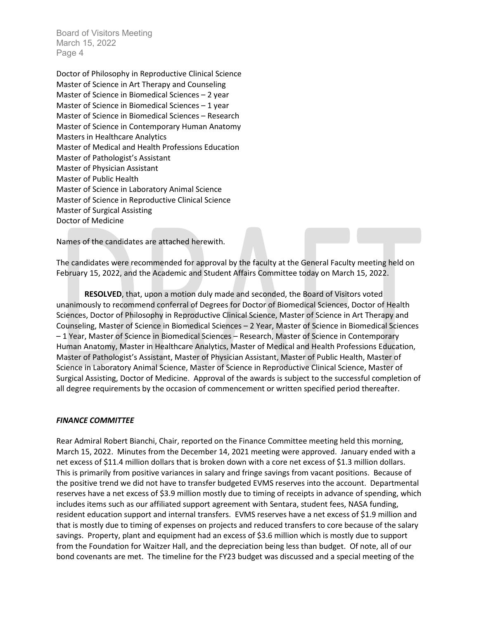Doctor of Philosophy in Reproductive Clinical Science Master of Science in Art Therapy and Counseling Master of Science in Biomedical Sciences – 2 year Master of Science in Biomedical Sciences – 1 year Master of Science in Biomedical Sciences – Research Master of Science in Contemporary Human Anatomy Masters in Healthcare Analytics Master of Medical and Health Professions Education Master of Pathologist's Assistant Master of Physician Assistant Master of Public Health Master of Science in Laboratory Animal Science Master of Science in Reproductive Clinical Science Master of Surgical Assisting Doctor of Medicine

Names of the candidates are attached herewith.

The candidates were recommended for approval by the faculty at the General Faculty meeting held on February 15, 2022, and the Academic and Student Affairs Committee today on March 15, 2022.

**RESOLVED**, that, upon a motion duly made and seconded, the Board of Visitors voted unanimously to recommend conferral of Degrees for Doctor of Biomedical Sciences, Doctor of Health Sciences, Doctor of Philosophy in Reproductive Clinical Science, Master of Science in Art Therapy and Counseling, Master of Science in Biomedical Sciences – 2 Year, Master of Science in Biomedical Sciences – 1 Year, Master of Science in Biomedical Sciences – Research, Master of Science in Contemporary Human Anatomy, Master in Healthcare Analytics, Master of Medical and Health Professions Education, Master of Pathologist's Assistant, Master of Physician Assistant, Master of Public Health, Master of Science in Laboratory Animal Science, Master of Science in Reproductive Clinical Science, Master of Surgical Assisting, Doctor of Medicine. Approval of the awards is subject to the successful completion of all degree requirements by the occasion of commencement or written specified period thereafter.

#### *FINANCE COMMITTEE*

Rear Admiral Robert Bianchi, Chair, reported on the Finance Committee meeting held this morning, March 15, 2022. Minutes from the December 14, 2021 meeting were approved. January ended with a net excess of \$11.4 million dollars that is broken down with a core net excess of \$1.3 million dollars. This is primarily from positive variances in salary and fringe savings from vacant positions. Because of the positive trend we did not have to transfer budgeted EVMS reserves into the account. Departmental reserves have a net excess of \$3.9 million mostly due to timing of receipts in advance of spending, which includes items such as our affiliated support agreement with Sentara, student fees, NASA funding, resident education support and internal transfers. EVMS reserves have a net excess of \$1.9 million and that is mostly due to timing of expenses on projects and reduced transfers to core because of the salary savings. Property, plant and equipment had an excess of \$3.6 million which is mostly due to support from the Foundation for Waitzer Hall, and the depreciation being less than budget. Of note, all of our bond covenants are met. The timeline for the FY23 budget was discussed and a special meeting of the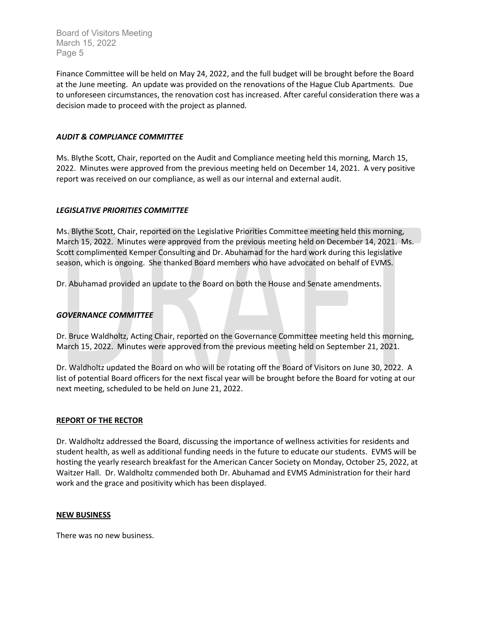Finance Committee will be held on May 24, 2022, and the full budget will be brought before the Board at the June meeting. An update was provided on the renovations of the Hague Club Apartments. Due to unforeseen circumstances, the renovation cost has increased. After careful consideration there was a decision made to proceed with the project as planned.

## *AUDIT & COMPLIANCE COMMITTEE*

Ms. Blythe Scott, Chair, reported on the Audit and Compliance meeting held this morning, March 15, 2022. Minutes were approved from the previous meeting held on December 14, 2021. A very positive report was received on our compliance, as well as our internal and external audit.

# *LEGISLATIVE PRIORITIES COMMITTEE*

Ms. Blythe Scott, Chair, reported on the Legislative Priorities Committee meeting held this morning, March 15, 2022. Minutes were approved from the previous meeting held on December 14, 2021. Ms. Scott complimented Kemper Consulting and Dr. Abuhamad for the hard work during this legislative season, which is ongoing. She thanked Board members who have advocated on behalf of EVMS.

Dr. Abuhamad provided an update to the Board on both the House and Senate amendments.

### *GOVERNANCE COMMITTEE*

Dr. Bruce Waldholtz, Acting Chair, reported on the Governance Committee meeting held this morning, March 15, 2022. Minutes were approved from the previous meeting held on September 21, 2021.

Dr. Waldholtz updated the Board on who will be rotating off the Board of Visitors on June 30, 2022. A list of potential Board officers for the next fiscal year will be brought before the Board for voting at our next meeting, scheduled to be held on June 21, 2022.

### **REPORT OF THE RECTOR**

Dr. Waldholtz addressed the Board, discussing the importance of wellness activities for residents and student health, as well as additional funding needs in the future to educate our students. EVMS will be hosting the yearly research breakfast for the American Cancer Society on Monday, October 25, 2022, at Waitzer Hall. Dr. Waldholtz commended both Dr. Abuhamad and EVMS Administration for their hard work and the grace and positivity which has been displayed.

#### **NEW BUSINESS**

There was no new business.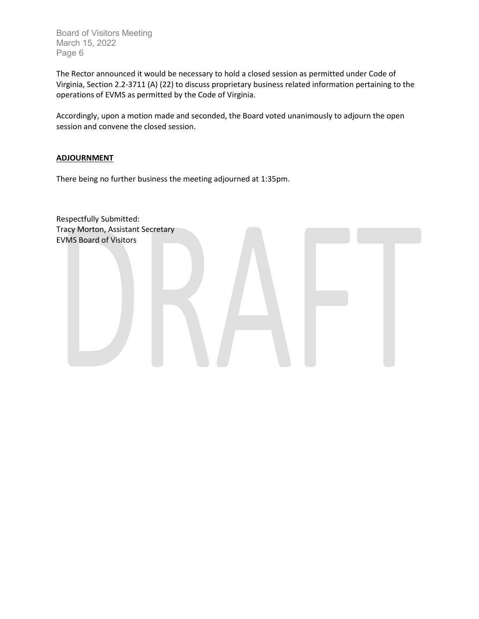The Rector announced it would be necessary to hold a closed session as permitted under Code of Virginia, Section 2.2-3711 (A) (22) to discuss proprietary business related information pertaining to the operations of EVMS as permitted by the Code of Virginia.

Accordingly, upon a motion made and seconded, the Board voted unanimously to adjourn the open session and convene the closed session.

### **ADJOURNMENT**

There being no further business the meeting adjourned at 1:35pm.

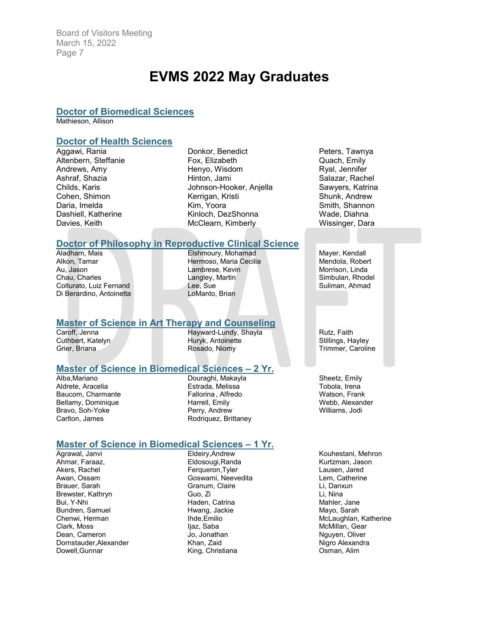# **EVMS 2022 May Graduates**

#### **Doctor of Biomedical Sciences**

Mathieson, Allison

# **Doctor of Health Sciences**

Aggawi, Rania Altenbern, Steffanie Andrews, Amy Ashraf, Shazia Childs, Karis Cohen, Shimon Daria, Imelda Dashiell, Katherine Davies, Keith

Donkor, Benedict Fox, Elizabeth Henyo, Wisdom Hinton, Jami Johnson-Hooker, Anjella Kerrigan, Kristi Kim, Yoora Kinloch, DezShonna McClearn, Kimberly

# **Doctor of Philosophy in Reproductive Clinical Science**

Aladham, Mais Alkon, Tamar Au, Jason Chau, Charles Colturato, Luiz Fernand Di Berardino, Antoinetta

Elshmoury, Mohamad Hermoso, Maria Cecilia Lambrese, Kevin Langley, Martin Lee, Sue LoManto, Brian

#### **Master of Science in Art Therapy and Counseling**

Caroff, Jenna Cuthbert, Katelyn Grier, Briana

Hayward-Lundy, Shayla Huryk, Antoinette Rosado, Niomy

### **Master of Science in Biomedical Sciences – 2 Yr.**

Alba,Mariano Aldrete, Aracelia Baucom, Charmante Bellamy, Dominique Bravo, Soh-Yoke Carlton, James

Douraghi, Makayla Estrada, Melissa Fallorina , Alfredo Harrell, Emily Perry, Andrew Rodriquez, Brittaney

#### **Master of Science in Biomedical Sciences – 1 Yr.**

Agrawal, Janvi Ahmar, Faraaz, Akers, Rachel Awan, Ossam Brauer, Sarah Brewster, Kathryn Bui, Y-Nhi Bundren, Samuel Chenwi, Herman Clark, Moss Dean, Cameron Dornstauder,Alexander Dowell,Gunnar

Eldeiry,Andrew Eldosougi,Randa Ferqueron,Tyler Goswami, Neevedita Granum, Claire Guo, Zi Haden, Catrina Hwang, Jackie Ihde,Emilio liaz, Saba Jo, Jonathan Khan, Zaid King, Christiana

Peters, Tawnya Quach, Emily Ryal, Jennifer Salazar, Rachel Sawyers, Katrina Shunk, Andrew Smith, Shannon Wade, Diahna Wissinger, Dara

Mayer, Kendall Mendola, Robert Morrison, Linda Simbulan, Rhodel Suliman, Ahmad

Rutz, Faith Stillings, Hayley Trimmer, Caroline

Sheetz, Emily Tobola, Irena Watson, Frank Webb, Alexander Williams, Jodi

Kouhestani, Mehron Kurtzman, Jason Lausen, Jared Lem, Catherine Li, Danxun Li, Nina Mahler, Jane Mayo, Sarah McLaughlan, Katherine McMillan, Gear Nauven, Oliver Nigro Alexandra Osman, Alim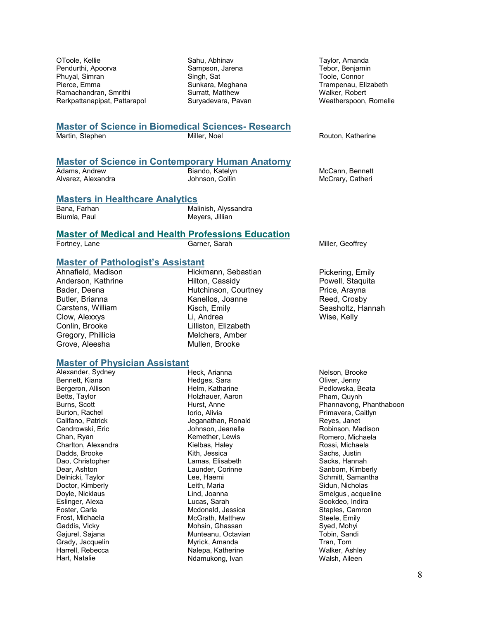OToole, Kellie Pendurthi, Apoorva Phuyal, Simran Pierce, Emma Ramachandran, Smrithi Rerkpattanapipat, Pattarapol Sahu, Abhinav Sampson, Jarena Singh, Sat Sunkara, Meghana Surratt, Matthew Suryadevara, Pavan

Taylor, Amanda Tebor, Benjamin Toole, Connor Trampenau, Elizabeth Walker, Robert Weatherspoon, Romelle

# **Master of Science in Biomedical Sciences- Research**

Routon, Katherine

# **Master of Science in Contemporary Human Anatomy**

Adams, Andrew Alvarez, Alexandra Biando, Katelyn Johnson, Collin

McCann, Bennett McCrary, Catheri

#### **Masters in Healthcare Analytics**

Bana, Farhan Biumla, Paul

Malinish, Alyssandra Meyers, Jillian

# **Master of Medical and Health Professions Education**<br>Fortney, Lane Garner, Sarah

Miller, Geoffrey

# **Master of Pathologist's Assistant**

Ahnafield, Madison Anderson, Kathrine Bader, Deena Butler, Brianna Carstens, William Clow, Alexxys Conlin, Brooke Gregory, Phillicia Grove, Aleesha

Hickmann, Sebastian Hilton, Cassidy Hutchinson, Courtney Kanellos, Joanne Kisch, Emily Li, Andrea Lilliston, Elizabeth Melchers, Amber Mullen, Brooke

# **Master of Physician Assistant**

Alexander, Sydney Bennett, Kiana Bergeron, Allison Betts, Taylor Burns, Scott Burton, Rachel Califano, Patrick Cendrowski, Eric Chan, Ryan Charlton, Alexandra Dadds, Brooke Dao, Christopher Dear, Ashton Delnicki, Taylor Doctor, Kimberly Doyle, Nicklaus Eslinger, Alexa Foster, Carla Frost, Michaela Gaddis, Vicky Gajurel, Sajana Grady, Jacquelin Harrell, Rebecca Hart, Natalie

Heck, Arianna Hedges, Sara Helm, Katharine Holzhauer, Aaron Hurst, Anne Iorio, Alivia Jeganathan, Ronald Johnson, Jeanelle Kemether, Lewis Kielbas, Haley Kith, Jessica Lamas, Elisabeth Launder, Corinne Lee, Haemi Leith, Maria Lind, Joanna Lucas, Sarah Mcdonald, Jessica McGrath, Matthew Mohsin, Ghassan Munteanu, Octavian Myrick, Amanda Nalepa, Katherine Ndamukong, Ivan

Pickering, Emily Powell, Staquita Price, Arayna Reed, Crosby Seasholtz, Hannah Wise, Kelly

Nelson, Brooke Oliver, Jenny Pedlowska, Beata Pham, Quynh Phannavong, Phanthaboon Primavera, Caitlyn Reyes, Janet Robinson, Madison Romero, Michaela Rossi, Michaela Sachs, Justin Sacks, Hannah Sanborn, Kimberly Schmitt, Samantha Sidun, Nicholas Smelgus, acqueline Sookdeo, Indira Staples, Camron Steele, Emily Syed, Mohyi Tobin, Sandi Tran, Tom Walker, Ashley Walsh, Aileen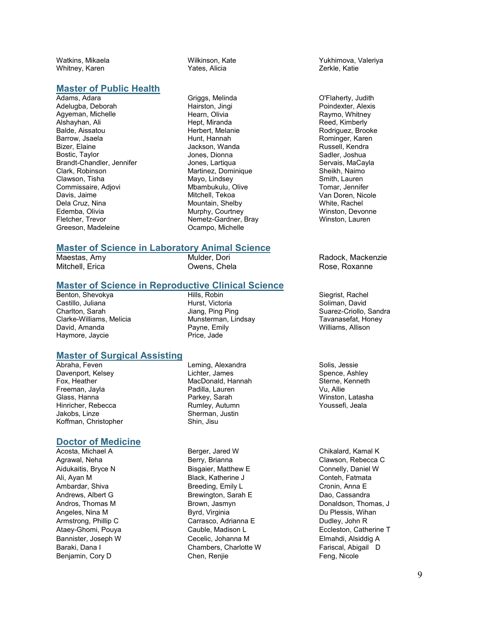Watkins, Mikaela Whitney, Karen

#### **Master of Public Health**

Adams, Adara Adelugba, Deborah Agyeman, Michelle Alshayhan, Ali Balde, Aissatou Barrow, Jsaela Bizer, Elaine Bostic, Taylor Brandt-Chandler, Jennifer Clark, Robinson Clawson, Tisha Commissaire, Adjovi Davis, Jaime Dela Cruz, Nina Edemba, Olivia Fletcher, Trevor Greeson, Madeleine

Wilkinson, Kate Yates, Alicia

Griggs, Melinda Hairston, Jingi Hearn, Olivia Hept, Miranda Herbert, Melanie Hunt, Hannah Jackson, Wanda Jones, Dionna Jones, Lartiqua Martinez, Dominique Mayo, Lindsey Mbambukulu, Olive Mitchell, Tekoa Mountain, Shelby Murphy, Courtney Nemetz-Gardner, Bray Ocampo, Michelle

#### **Master of Science in Laboratory Animal Science**

Maestas, Amy Mitchell, Erica

Mulder, Dori Owens, Chela

#### **Master of Science in Reproductive Clinical Science**

Benton, Shevokya Castillo, Juliana Charlton, Sarah Clarke-Williams, Melicia David, Amanda Haymore, Jaycie

Hills, Robin Hurst, Victoria Jiang, Ping Ping Munsterman, Lindsay Payne, Emily Price, Jade

# **Master of Surgical Assisting**

Abraha, Feven Davenport, Kelsey Fox, Heather Freeman, Jayla Glass, Hanna Hinricher, Rebecca Jakobs, Linze Koffman, Christopher

#### **Doctor of Medicine**

Acosta, Michael A Agrawal, Neha Aidukaitis, Bryce N Ali, Ayan M Ambardar, Shiva Andrews, Albert G Andros, Thomas M Angeles, Nina M Armstrong, Phillip C Ataey-Ghomi, Pouya Bannister, Joseph W Baraki, Dana I Benjamin, Cory D

Leming, Alexandra Lichter, James MacDonald, Hannah Padilla, Lauren Parkey, Sarah Rumley, Autumn Sherman, Justin Shin, Jisu

Berger, Jared W Berry, Brianna Bisgaier, Matthew E Black, Katherine J Breeding, Emily L Brewington, Sarah E Brown, Jasmyn Byrd, Virginia Carrasco, Adrianna E Cauble, Madison L Cecelic, Johanna M Chambers, Charlotte W Chen, Renjie

Yukhimova, Valeriya Zerkle, Katie

O'Flaherty, Judith Poindexter, Alexis Raymo, Whitney Reed, Kimberly Rodriguez, Brooke Rominger, Karen Russell, Kendra Sadler, Joshua Servais, MaCayla Sheikh, Naimo Smith, Lauren Tomar, Jennifer Van Doren, Nicole White, Rachel Winston, Devonne Winston, Lauren

Radock, Mackenzie Rose, Roxanne

Siegrist, Rachel Soliman, David Suarez-Criollo, Sandra Tavanasefat, Honey Williams, Allison

Solis, Jessie Spence, Ashley Sterne, Kenneth Vu, Allie Winston, Latasha Youssefi, Jeala

Chikalard, Kamal K Clawson, Rebecca C Connelly, Daniel W Conteh, Fatmata Cronin, Anna E Dao, Cassandra Donaldson, Thomas, J Du Plessis, Wihan Dudley, John R Eccleston, Catherine T Elmahdi, Alsiddig A Fariscal, Abigail D Feng, Nicole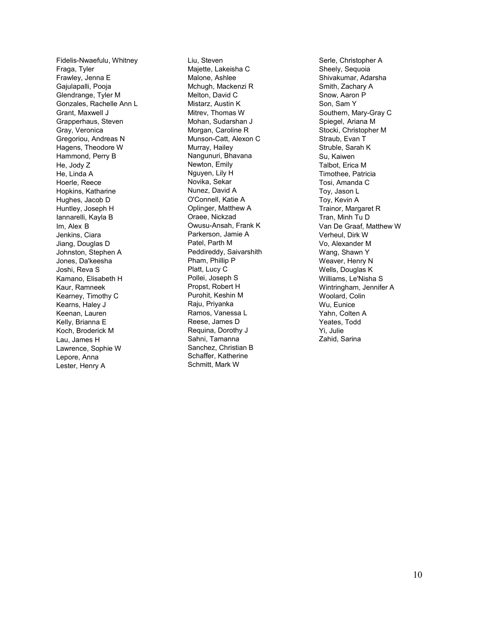Fidelis-Nwaefulu, Whitney Fraga, Tyler Frawley, Jenna E Gajulapalli, Pooja Glendrange, Tyler M Gonzales, Rachelle Ann L Grant, Maxwell J Grapperhaus, Steven Gray, Veronica Gregoriou, Andreas N Hagens, Theodore W Hammond, Perry B He, Jody Z He, Linda A Hoerle, Reece Hopkins, Katharine Hughes, Jacob D Huntley, Joseph H Iannarelli, Kayla B Im, Alex B Jenkins, Ciara Jiang, Douglas D Johnston, Stephen A Jones, Da'keesha Joshi, Reva S Kamano, Elisabeth H Kaur, Ramneek Kearney, Timothy C Kearns, Haley J Keenan, Lauren Kelly, Brianna E Koch, Broderick M Lau, James H Lawrence, Sophie W Lepore, Anna Lester, Henry A

Liu, Steven Majette, Lakeisha C Malone, Ashlee Mchugh, Mackenzi R Melton, David C Mistarz, Austin K Mitrev, Thomas W Mohan, Sudarshan J Morgan, Caroline R Munson-Catt, Alexon C Murray, Hailey Nangunuri, Bhavana Newton, Emily Nguyen, Lily H Novika, Sekar Nunez, David A O'Connell, Katie A Oplinger, Matthew A Oraee, Nickzad Owusu-Ansah, Frank K Parkerson, Jamie A Patel, Parth M Peddireddy, Saivarshith Pham, Phillip P Platt, Lucy C Pollei, Joseph S Propst, Robert H Purohit, Keshin M Raju, Priyanka Ramos, Vanessa L Reese, James D Requina, Dorothy J Sahni, Tamanna Sanchez, Christian B Schaffer, Katherine Schmitt, Mark W

Serle, Christopher A Sheely, Sequoia Shivakumar, Adarsha Smith, Zachary A Snow, Aaron P Son, Sam Y Southern, Mary-Gray C Spiegel, Ariana M Stocki, Christopher M Straub, Evan T Struble, Sarah K Su, Kaiwen Talbot, Erica M Timothee, Patricia Tosi, Amanda C Toy, Jason L Toy, Kevin A Trainor, Margaret R Tran, Minh Tu D Van De Graaf, Matthew W Verheul, Dirk W Vo, Alexander M Wang, Shawn Y Weaver, Henry N Wells, Douglas K Williams, Le'Nisha S Wintringham, Jennifer A Woolard, Colin Wu, Eunice Yahn, Colten A Yeates, Todd Yi, Julie Zahid, Sarina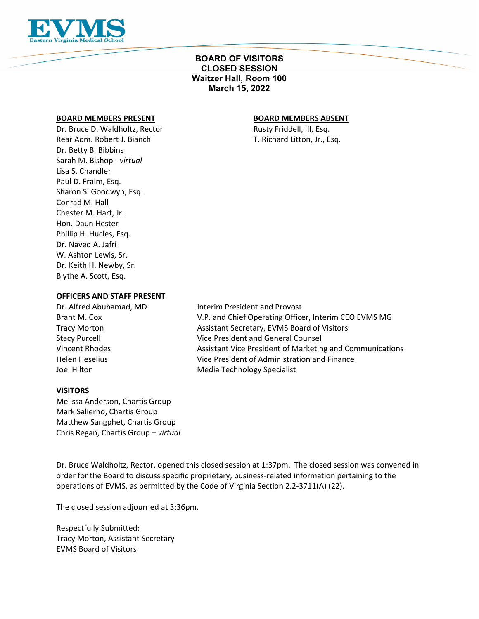

# **BOARD OF VISITORS CLOSED SESSION Waitzer Hall, Room 100 March 15, 2022**

#### **BOARD MEMBERS PRESENT BOARD MEMBERS ABSENT**

Dr. Bruce D. Waldholtz, Rector **Rusty Friddell**, III, Esq. Rear Adm. Robert J. Bianchi T. Richard Litton, Jr., Esq. Dr. Betty B. Bibbins Sarah M. Bishop - *virtual* Lisa S. Chandler Paul D. Fraim, Esq. Sharon S. Goodwyn, Esq. Conrad M. Hall Chester M. Hart, Jr. Hon. Daun Hester Phillip H. Hucles, Esq. Dr. Naved A. Jafri W. Ashton Lewis, Sr. Dr. Keith H. Newby, Sr. Blythe A. Scott, Esq.

# **OFFICERS AND STAFF PRESENT**

Joel Hilton Media Technology Specialist

Dr. Alfred Abuhamad, MD Interim President and Provost Brant M. Cox V.P. and Chief Operating Officer, Interim CEO EVMS MG Tracy Morton Assistant Secretary, EVMS Board of Visitors Stacy Purcell Vice President and General Counsel Vincent Rhodes **Assistant Vice President of Marketing and Communications Assistant Vice President of Marketing and Communications** Helen Heselius Vice President of Administration and Finance

#### **VISITORS**

Melissa Anderson, Chartis Group Mark Salierno, Chartis Group Matthew Sangphet, Chartis Group Chris Regan, Chartis Group – *virtual* 

Dr. Bruce Waldholtz, Rector, opened this closed session at 1:37pm. The closed session was convened in order for the Board to discuss specific proprietary, business-related information pertaining to the operations of EVMS, as permitted by the Code of Virginia Section 2.2-3711(A) (22).

The closed session adjourned at 3:36pm.

Respectfully Submitted: Tracy Morton, Assistant Secretary EVMS Board of Visitors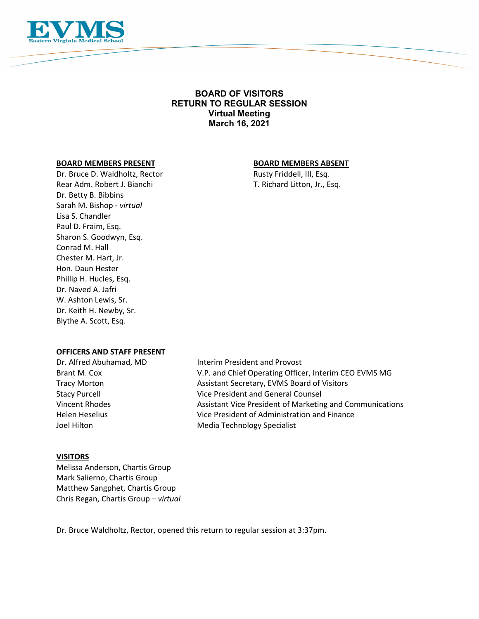

# **BOARD OF VISITORS RETURN TO REGULAR SESSION Virtual Meeting March 16, 2021**

#### **BOARD MEMBERS PRESENT BOARD MEMBERS ABSENT**

Dr. Bruce D. Waldholtz, Rector Rusty Friddell, III, Esq. Rear Adm. Robert J. Bianchi T. Richard Litton, Jr., Esq. Dr. Betty B. Bibbins Sarah M. Bishop - *virtual* Lisa S. Chandler Paul D. Fraim, Esq. Sharon S. Goodwyn, Esq. Conrad M. Hall Chester M. Hart, Jr. Hon. Daun Hester Phillip H. Hucles, Esq. Dr. Naved A. Jafri W. Ashton Lewis, Sr. Dr. Keith H. Newby, Sr. Blythe A. Scott, Esq.

#### **OFFICERS AND STAFF PRESENT**

Dr. Alfred Abuhamad, MD Interim President and Provost Brant M. Cox V.P. and Chief Operating Officer, Interim CEO EVMS MG Tracy Morton **Assistant Secretary, EVMS Board of Visitors** Assistant Secretary, EVMS Board of Visitors Stacy Purcell Vice President and General Counsel Vincent Rhodes Assistant Vice President of Marketing and Communications Helen Heselius Vice President of Administration and Finance Joel Hilton **Media Technology Specialist** 

#### **VISITORS**

Melissa Anderson, Chartis Group Mark Salierno, Chartis Group Matthew Sangphet, Chartis Group Chris Regan, Chartis Group – *virtual* 

Dr. Bruce Waldholtz, Rector, opened this return to regular session at 3:37pm.